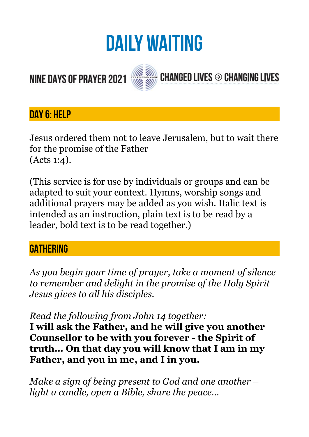# **DAILY WAITING**

**CHANGED LIVES → CHANGING LIVES** 

# **NINE DAYS OF PRAYER 2021**



# **DAY 6: HELP**

Jesus ordered them not to leave Jerusalem, but to wait there for the promise of the Father (Acts 1:4).

(This service is for use by individuals or groups and can be adapted to suit your context. Hymns, worship songs and additional prayers may be added as you wish. Italic text is intended as an instruction, plain text is to be read by a leader, bold text is to be read together.)

# **GATHERING**

*As you begin your time of prayer, take a moment of silence to remember and delight in the promise of the Holy Spirit Jesus gives to all his disciples.* 

*Read the following from John 14 together:* 

**I will ask the Father, and he will give you another Counsellor to be with you forever - the Spirit of truth… On that day you will know that I am in my Father, and you in me, and I in you.** 

*Make a sign of being present to God and one another – light a candle, open a Bible, share the peace…*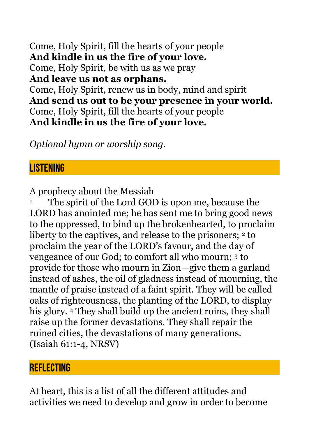Come, Holy Spirit, fill the hearts of your people **And kindle in us the fire of your love.**  Come, Holy Spirit, be with us as we pray **And leave us not as orphans.**  Come, Holy Spirit, renew us in body, mind and spirit **And send us out to be your presence in your world.**  Come, Holy Spirit, fill the hearts of your people **And kindle in us the fire of your love.** 

*Optional hymn or worship song.* 

# **LISTENING**

A prophecy about the Messiah

<sup>1</sup> The spirit of the Lord GOD is upon me, because the LORD has anointed me; he has sent me to bring good news to the oppressed, to bind up the brokenhearted, to proclaim liberty to the captives, and release to the prisoners;  $2$  to proclaim the year of the LORD's favour, and the day of vengeance of our God; to comfort all who mourn; 3 to provide for those who mourn in Zion—give them a garland instead of ashes, the oil of gladness instead of mourning, the mantle of praise instead of a faint spirit. They will be called oaks of righteousness, the planting of the LORD, to display his glory. 4 They shall build up the ancient ruins, they shall raise up the former devastations. They shall repair the ruined cities, the devastations of many generations. (Isaiah 61:1-4, NRSV)

#### **REFLECTING**

At heart, this is a list of all the different attitudes and activities we need to develop and grow in order to become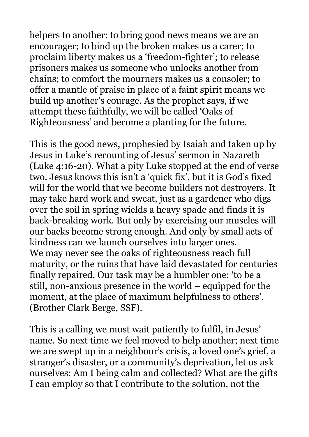helpers to another: to bring good news means we are an encourager; to bind up the broken makes us a carer; to proclaim liberty makes us a 'freedom-fighter'; to release prisoners makes us someone who unlocks another from chains; to comfort the mourners makes us a consoler; to offer a mantle of praise in place of a faint spirit means we build up another's courage. As the prophet says, if we attempt these faithfully, we will be called 'Oaks of Righteousness' and become a planting for the future.

This is the good news, prophesied by Isaiah and taken up by Jesus in Luke's recounting of Jesus' sermon in Nazareth (Luke 4:16-20). What a pity Luke stopped at the end of verse two. Jesus knows this isn't a 'quick fix', but it is God's fixed will for the world that we become builders not destroyers. It may take hard work and sweat, just as a gardener who digs over the soil in spring wields a heavy spade and finds it is back-breaking work. But only by exercising our muscles will our backs become strong enough. And only by small acts of kindness can we launch ourselves into larger ones. We may never see the oaks of righteousness reach full maturity, or the ruins that have laid devastated for centuries finally repaired. Our task may be a humbler one: 'to be a still, non-anxious presence in the world – equipped for the moment, at the place of maximum helpfulness to others'. (Brother Clark Berge, SSF).

This is a calling we must wait patiently to fulfil, in Jesus' name. So next time we feel moved to help another; next time we are swept up in a neighbour's crisis, a loved one's grief, a stranger's disaster, or a community's deprivation, let us ask ourselves: Am I being calm and collected? What are the gifts I can employ so that I contribute to the solution, not the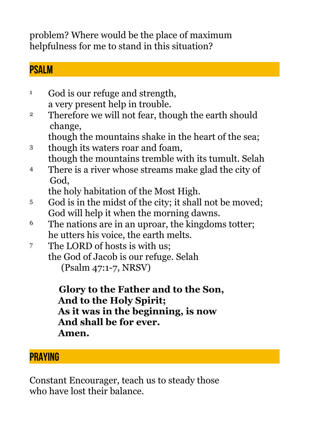problem? Where would be the place of maximum helpfulness for me to stand in this situation?

### **PSALM**

- <sup>1</sup> God is our refuge and strength, a very present help in trouble.
- <sup>2</sup> Therefore we will not fear, though the earth should change,
	- though the mountains shake in the heart of the sea;
- 3 though its waters roar and foam, though the mountains tremble with its tumult. Selah
- 4 There is a river whose streams make glad the city of God,

the holy habitation of the Most High.

- 5 God is in the midst of the city; it shall not be moved; God will help it when the morning dawns.
- 6 The nations are in an uproar, the kingdoms totter; he utters his voice, the earth melts.
- 7 The LORD of hosts is with us; the God of Jacob is our refuge. Selah (Psalm 47:1-7, NRSV)

 **Glory to the Father and to the Son, And to the Holy Spirit; As it was in the beginning, is now And shall be for ever. Amen.** 

# **PRAYING**

Constant Encourager, teach us to steady those who have lost their balance.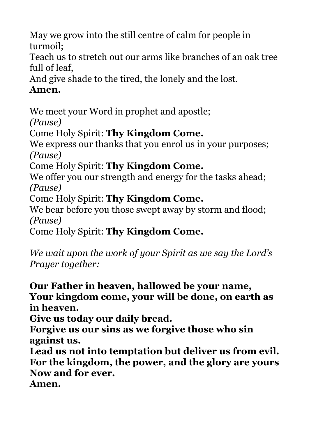May we grow into the still centre of calm for people in turmoil;

Teach us to stretch out our arms like branches of an oak tree full of leaf,

And give shade to the tired, the lonely and the lost.

### **Amen.**

We meet your Word in prophet and apostle;

*(Pause)* 

Come Holy Spirit: **Thy Kingdom Come.**

We express our thanks that you enrol us in your purposes; *(Pause)* 

Come Holy Spirit: **Thy Kingdom Come.**

We offer you our strength and energy for the tasks ahead; *(Pause)* 

Come Holy Spirit: **Thy Kingdom Come.**

We bear before you those swept away by storm and flood; *(Pause)* 

Come Holy Spirit: **Thy Kingdom Come.**

*We wait upon the work of your Spirit as we say the Lord's Prayer together:* 

**Our Father in heaven, hallowed be your name, Your kingdom come, your will be done, on earth as in heaven.** 

**Give us today our daily bread.** 

**Forgive us our sins as we forgive those who sin against us.** 

**Lead us not into temptation but deliver us from evil. For the kingdom, the power, and the glory are yours Now and for ever.** 

**Amen.**